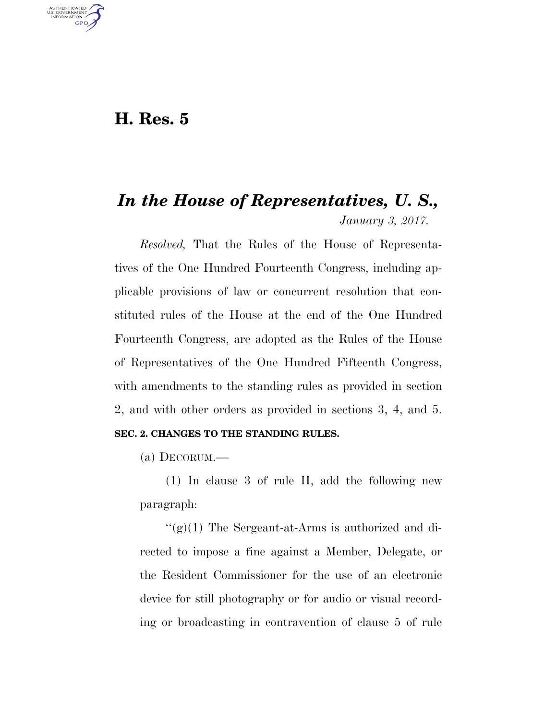# **H. Res. 5**

U.S. GOVERNMENT **GPO** 

# *In the House of Representatives, U. S., January 3, 2017.*

*Resolved,* That the Rules of the House of Representatives of the One Hundred Fourteenth Congress, including applicable provisions of law or concurrent resolution that constituted rules of the House at the end of the One Hundred Fourteenth Congress, are adopted as the Rules of the House of Representatives of the One Hundred Fifteenth Congress, with amendments to the standing rules as provided in section 2, and with other orders as provided in sections 3, 4, and 5.

# **SEC. 2. CHANGES TO THE STANDING RULES.**

(a) DECORUM.—

(1) In clause 3 of rule II, add the following new paragraph:

 $\binom{1}{2}(1)$  The Sergeant-at-Arms is authorized and directed to impose a fine against a Member, Delegate, or the Resident Commissioner for the use of an electronic device for still photography or for audio or visual recording or broadcasting in contravention of clause 5 of rule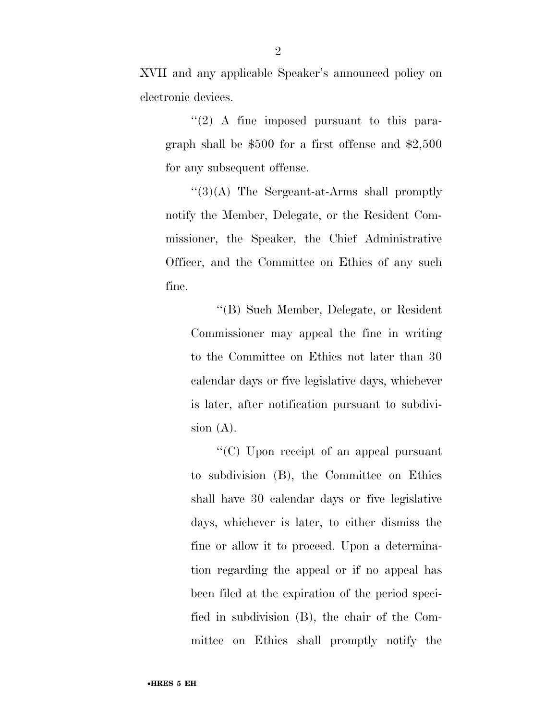XVII and any applicable Speaker's announced policy on electronic devices.

''(2) A fine imposed pursuant to this paragraph shall be \$500 for a first offense and \$2,500 for any subsequent offense.

 $\lq(3)(A)$  The Sergeant-at-Arms shall promptly notify the Member, Delegate, or the Resident Commissioner, the Speaker, the Chief Administrative Officer, and the Committee on Ethics of any such fine.

''(B) Such Member, Delegate, or Resident Commissioner may appeal the fine in writing to the Committee on Ethics not later than 30 calendar days or five legislative days, whichever is later, after notification pursuant to subdivision  $(A)$ .

''(C) Upon receipt of an appeal pursuant to subdivision (B), the Committee on Ethics shall have 30 calendar days or five legislative days, whichever is later, to either dismiss the fine or allow it to proceed. Upon a determination regarding the appeal or if no appeal has been filed at the expiration of the period specified in subdivision (B), the chair of the Committee on Ethics shall promptly notify the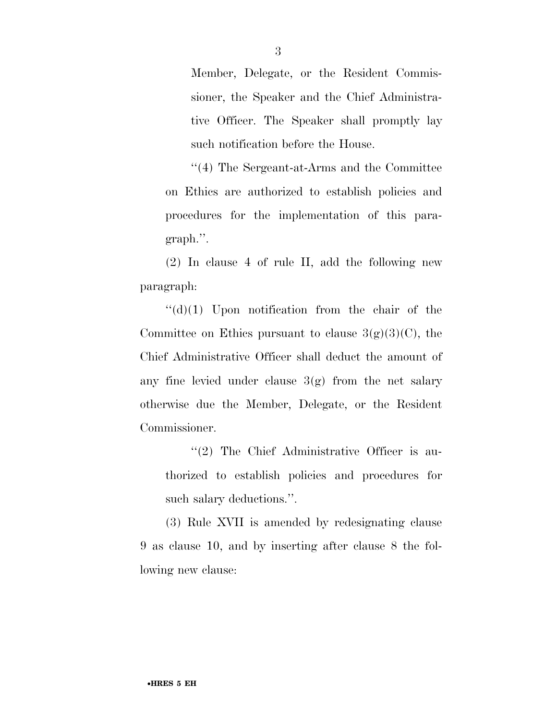Member, Delegate, or the Resident Commissioner, the Speaker and the Chief Administrative Officer. The Speaker shall promptly lay such notification before the House.

''(4) The Sergeant-at-Arms and the Committee on Ethics are authorized to establish policies and procedures for the implementation of this paragraph.''.

(2) In clause 4 of rule II, add the following new paragraph:

 $\lq\lq$ (d)(1) Upon notification from the chair of the Committee on Ethics pursuant to clause  $3(g)(3)(C)$ , the Chief Administrative Officer shall deduct the amount of any fine levied under clause  $3(g)$  from the net salary otherwise due the Member, Delegate, or the Resident Commissioner.

''(2) The Chief Administrative Officer is authorized to establish policies and procedures for such salary deductions.''.

(3) Rule XVII is amended by redesignating clause 9 as clause 10, and by inserting after clause 8 the following new clause: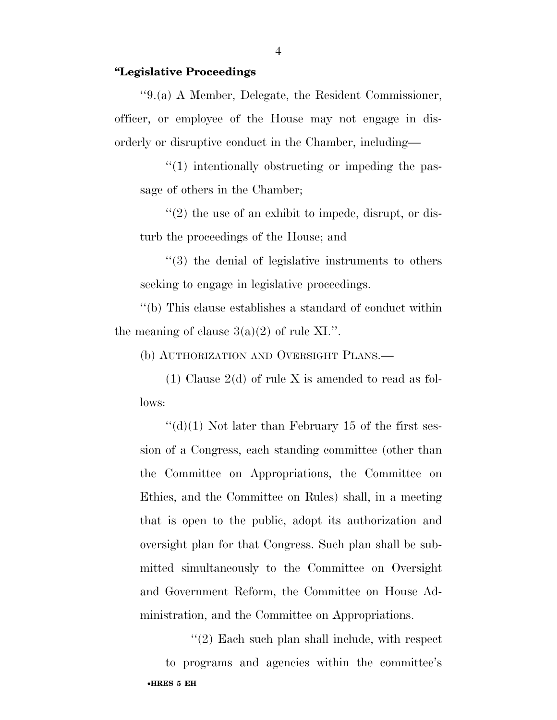#### **''Legislative Proceedings**

''9.(a) A Member, Delegate, the Resident Commissioner, officer, or employee of the House may not engage in disorderly or disruptive conduct in the Chamber, including—

''(1) intentionally obstructing or impeding the passage of others in the Chamber;

''(2) the use of an exhibit to impede, disrupt, or disturb the proceedings of the House; and

''(3) the denial of legislative instruments to others seeking to engage in legislative proceedings.

''(b) This clause establishes a standard of conduct within the meaning of clause  $3(a)(2)$  of rule XI.".

(b) AUTHORIZATION AND OVERSIGHT PLANS.—

(1) Clause  $2(d)$  of rule X is amended to read as follows:

 $''(\mathrm{d})(1)$  Not later than February 15 of the first session of a Congress, each standing committee (other than the Committee on Appropriations, the Committee on Ethics, and the Committee on Rules) shall, in a meeting that is open to the public, adopt its authorization and oversight plan for that Congress. Such plan shall be submitted simultaneously to the Committee on Oversight and Government Reform, the Committee on House Administration, and the Committee on Appropriations.

•**HRES 5 EH**  ''(2) Each such plan shall include, with respect to programs and agencies within the committee's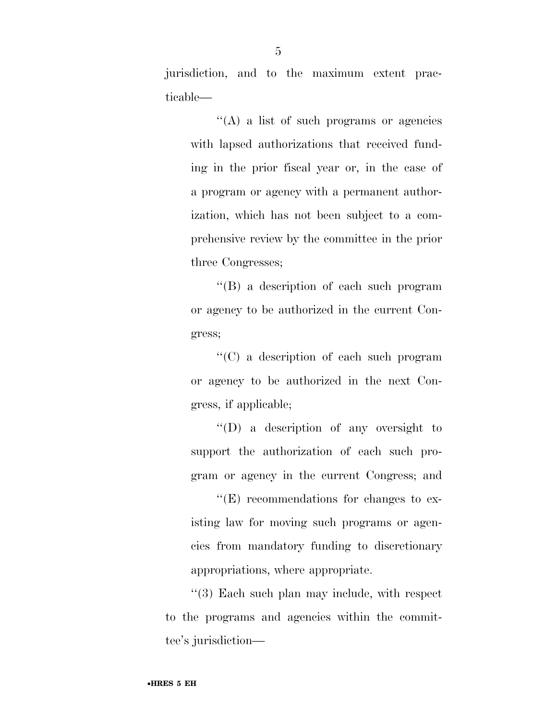jurisdiction, and to the maximum extent practicable—

''(A) a list of such programs or agencies with lapsed authorizations that received funding in the prior fiscal year or, in the case of a program or agency with a permanent authorization, which has not been subject to a comprehensive review by the committee in the prior three Congresses;

''(B) a description of each such program or agency to be authorized in the current Congress;

''(C) a description of each such program or agency to be authorized in the next Congress, if applicable;

''(D) a description of any oversight to support the authorization of each such program or agency in the current Congress; and

''(E) recommendations for changes to existing law for moving such programs or agencies from mandatory funding to discretionary appropriations, where appropriate.

''(3) Each such plan may include, with respect to the programs and agencies within the committee's jurisdiction—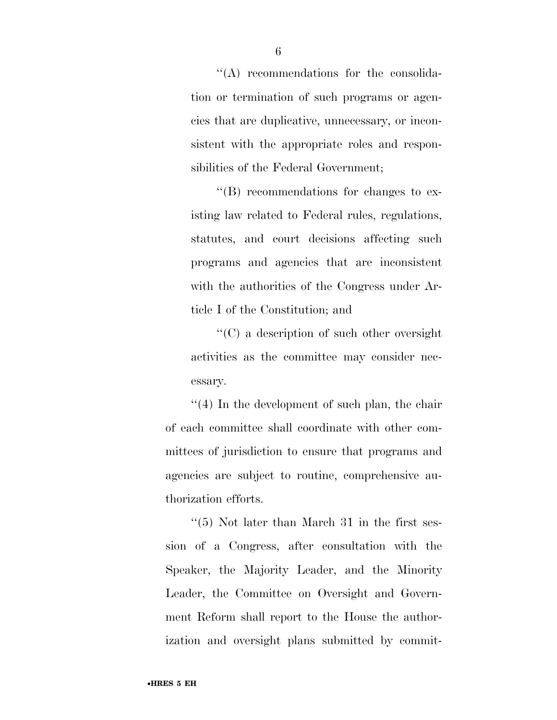''(A) recommendations for the consolidation or termination of such programs or agencies that are duplicative, unnecessary, or inconsistent with the appropriate roles and responsibilities of the Federal Government;

''(B) recommendations for changes to existing law related to Federal rules, regulations, statutes, and court decisions affecting such programs and agencies that are inconsistent with the authorities of the Congress under Article I of the Constitution; and

''(C) a description of such other oversight activities as the committee may consider necessary.

 $(4)$  In the development of such plan, the chair of each committee shall coordinate with other committees of jurisdiction to ensure that programs and agencies are subject to routine, comprehensive authorization efforts.

 $\cdot$ (5) Not later than March 31 in the first session of a Congress, after consultation with the Speaker, the Majority Leader, and the Minority Leader, the Committee on Oversight and Government Reform shall report to the House the authorization and oversight plans submitted by commit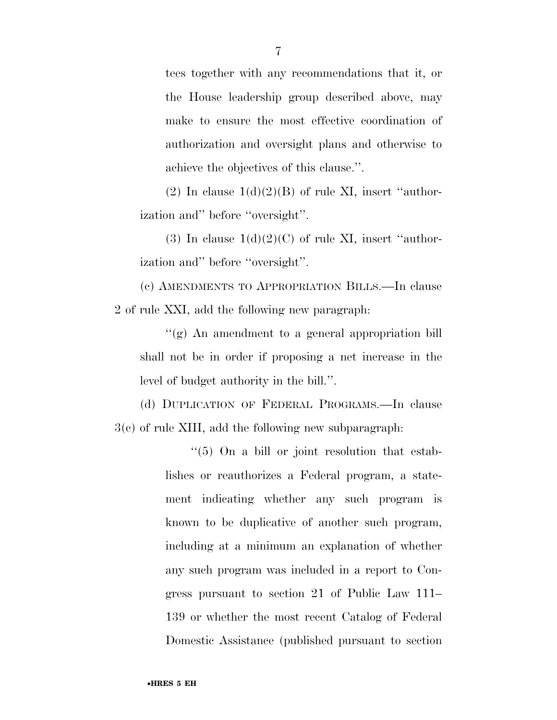tees together with any recommendations that it, or the House leadership group described above, may make to ensure the most effective coordination of authorization and oversight plans and otherwise to achieve the objectives of this clause.''.

(2) In clause  $1(d)(2)(B)$  of rule XI, insert "authorization and'' before ''oversight''.

(3) In clause  $1(d)(2)(C)$  of rule XI, insert "authorization and'' before ''oversight''.

(c) AMENDMENTS TO APPROPRIATION BILLS.—In clause 2 of rule XXI, add the following new paragraph:

''(g) An amendment to a general appropriation bill shall not be in order if proposing a net increase in the level of budget authority in the bill.''.

(d) DUPLICATION OF FEDERAL PROGRAMS.—In clause 3(c) of rule XIII, add the following new subparagraph:

> ''(5) On a bill or joint resolution that establishes or reauthorizes a Federal program, a statement indicating whether any such program is known to be duplicative of another such program, including at a minimum an explanation of whether any such program was included in a report to Congress pursuant to section 21 of Public Law 111– 139 or whether the most recent Catalog of Federal Domestic Assistance (published pursuant to section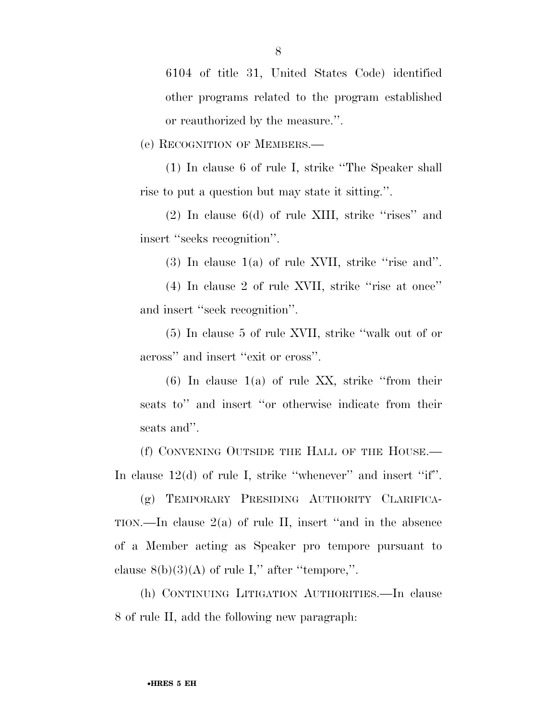6104 of title 31, United States Code) identified other programs related to the program established or reauthorized by the measure.''.

(e) RECOGNITION OF MEMBERS.—

(1) In clause 6 of rule I, strike ''The Speaker shall rise to put a question but may state it sitting.''.

 $(2)$  In clause 6(d) of rule XIII, strike "rises" and insert ''seeks recognition''.

 $(3)$  In clause  $1(a)$  of rule XVII, strike "rise and".

(4) In clause 2 of rule XVII, strike ''rise at once'' and insert ''seek recognition''.

(5) In clause 5 of rule XVII, strike ''walk out of or across'' and insert ''exit or cross''.

 $(6)$  In clause 1(a) of rule XX, strike "from their seats to'' and insert ''or otherwise indicate from their seats and''.

(f) CONVENING OUTSIDE THE HALL OF THE HOUSE.— In clause 12(d) of rule I, strike "whenever" and insert "if".

(g) TEMPORARY PRESIDING AUTHORITY CLARIFICA-TION.—In clause 2(a) of rule II, insert ''and in the absence of a Member acting as Speaker pro tempore pursuant to clause  $8(b)(3)(A)$  of rule I," after "tempore,".

(h) CONTINUING LITIGATION AUTHORITIES.—In clause 8 of rule II, add the following new paragraph: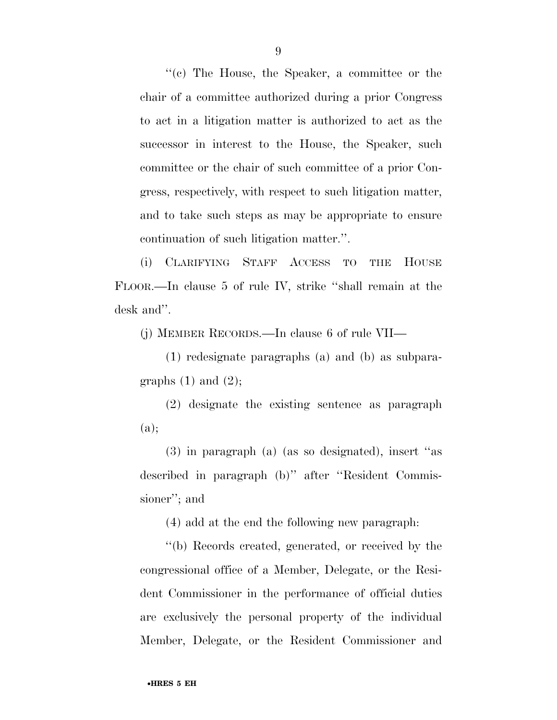''(c) The House, the Speaker, a committee or the chair of a committee authorized during a prior Congress to act in a litigation matter is authorized to act as the successor in interest to the House, the Speaker, such committee or the chair of such committee of a prior Congress, respectively, with respect to such litigation matter, and to take such steps as may be appropriate to ensure continuation of such litigation matter.''.

(i) CLARIFYING STAFF ACCESS TO THE HOUSE FLOOR.—In clause 5 of rule IV, strike ''shall remain at the desk and''.

(j) MEMBER RECORDS.—In clause 6 of rule VII—

(1) redesignate paragraphs (a) and (b) as subparagraphs  $(1)$  and  $(2)$ ;

(2) designate the existing sentence as paragraph (a);

(3) in paragraph (a) (as so designated), insert ''as described in paragraph (b)'' after ''Resident Commissioner''; and

(4) add at the end the following new paragraph:

''(b) Records created, generated, or received by the congressional office of a Member, Delegate, or the Resident Commissioner in the performance of official duties are exclusively the personal property of the individual Member, Delegate, or the Resident Commissioner and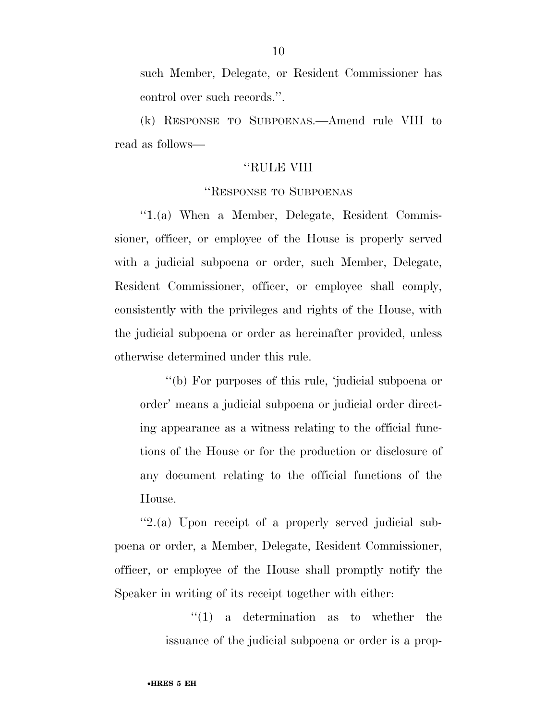such Member, Delegate, or Resident Commissioner has control over such records.''.

(k) RESPONSE TO SUBPOENAS.—Amend rule VIII to read as follows—

### ''RULE VIII

# ''RESPONSE TO SUBPOENAS

''1.(a) When a Member, Delegate, Resident Commissioner, officer, or employee of the House is properly served with a judicial subpoena or order, such Member, Delegate, Resident Commissioner, officer, or employee shall comply, consistently with the privileges and rights of the House, with the judicial subpoena or order as hereinafter provided, unless otherwise determined under this rule.

''(b) For purposes of this rule, 'judicial subpoena or order' means a judicial subpoena or judicial order directing appearance as a witness relating to the official functions of the House or for the production or disclosure of any document relating to the official functions of the House.

''2.(a) Upon receipt of a properly served judicial subpoena or order, a Member, Delegate, Resident Commissioner, officer, or employee of the House shall promptly notify the Speaker in writing of its receipt together with either:

> ''(1) a determination as to whether the issuance of the judicial subpoena or order is a prop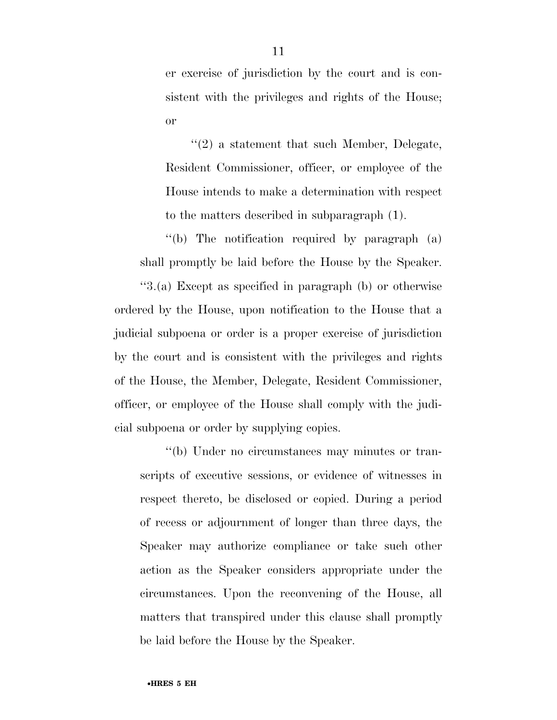er exercise of jurisdiction by the court and is consistent with the privileges and rights of the House; or

''(2) a statement that such Member, Delegate, Resident Commissioner, officer, or employee of the House intends to make a determination with respect to the matters described in subparagraph (1).

''(b) The notification required by paragraph (a) shall promptly be laid before the House by the Speaker.

''3.(a) Except as specified in paragraph (b) or otherwise ordered by the House, upon notification to the House that a judicial subpoena or order is a proper exercise of jurisdiction by the court and is consistent with the privileges and rights of the House, the Member, Delegate, Resident Commissioner, officer, or employee of the House shall comply with the judicial subpoena or order by supplying copies.

''(b) Under no circumstances may minutes or transcripts of executive sessions, or evidence of witnesses in respect thereto, be disclosed or copied. During a period of recess or adjournment of longer than three days, the Speaker may authorize compliance or take such other action as the Speaker considers appropriate under the circumstances. Upon the reconvening of the House, all matters that transpired under this clause shall promptly be laid before the House by the Speaker.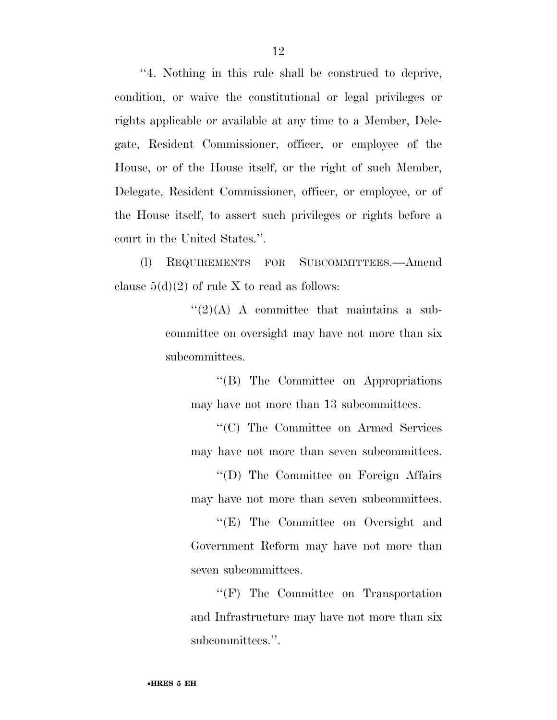''4. Nothing in this rule shall be construed to deprive, condition, or waive the constitutional or legal privileges or rights applicable or available at any time to a Member, Delegate, Resident Commissioner, officer, or employee of the House, or of the House itself, or the right of such Member, Delegate, Resident Commissioner, officer, or employee, or of the House itself, to assert such privileges or rights before a court in the United States.''.

(l) REQUIREMENTS FOR SUBCOMMITTEES.—Amend clause  $5(d)(2)$  of rule X to read as follows:

> $\lq(2)(A)$  A committee that maintains a subcommittee on oversight may have not more than six subcommittees.

''(B) The Committee on Appropriations may have not more than 13 subcommittees.

''(C) The Committee on Armed Services may have not more than seven subcommittees.

''(D) The Committee on Foreign Affairs may have not more than seven subcommittees.

''(E) The Committee on Oversight and Government Reform may have not more than seven subcommittees.

''(F) The Committee on Transportation and Infrastructure may have not more than six subcommittees.''.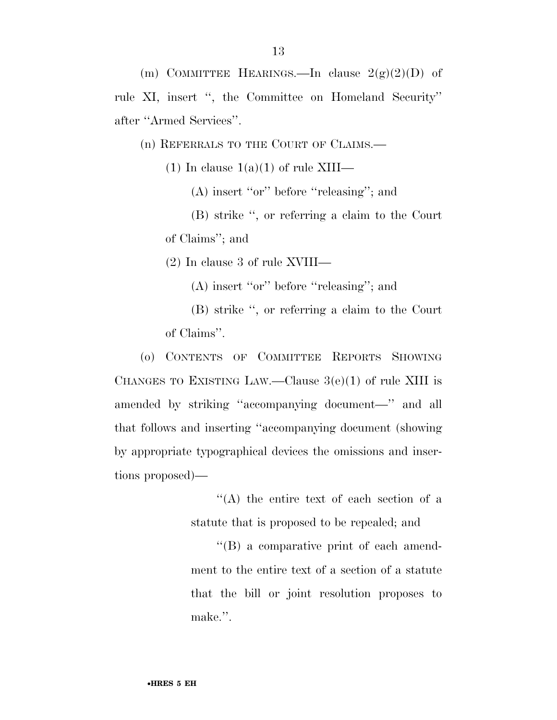rule XI, insert '', the Committee on Homeland Security'' after ''Armed Services''.

(n) REFERRALS TO THE COURT OF CLAIMS.—

(1) In clause  $1(a)(1)$  of rule XIII—

(A) insert ''or'' before ''releasing''; and

(B) strike '', or referring a claim to the Court of Claims''; and

(2) In clause 3 of rule XVIII—

(A) insert ''or'' before ''releasing''; and

(B) strike '', or referring a claim to the Court of Claims''.

(o) CONTENTS OF COMMITTEE REPORTS SHOWING CHANGES TO EXISTING LAW.—Clause  $3(e)(1)$  of rule XIII is amended by striking ''accompanying document—'' and all that follows and inserting ''accompanying document (showing by appropriate typographical devices the omissions and insertions proposed)—

> ''(A) the entire text of each section of a statute that is proposed to be repealed; and

> ''(B) a comparative print of each amendment to the entire text of a section of a statute that the bill or joint resolution proposes to make.''.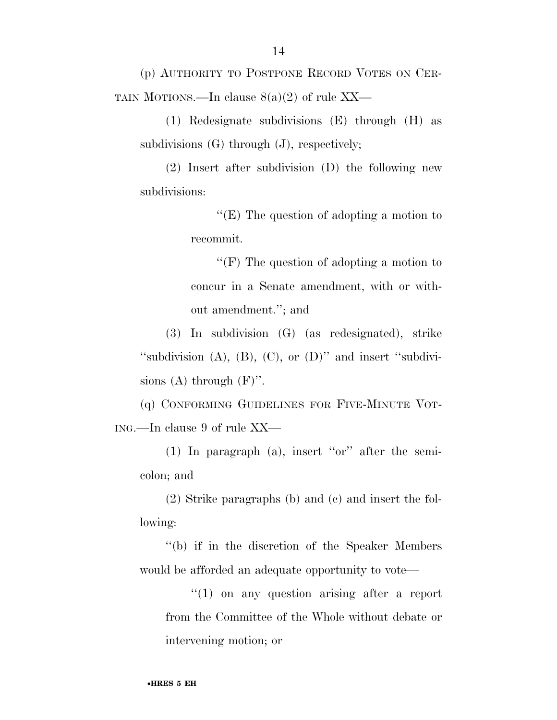(p) AUTHORITY TO POSTPONE RECORD VOTES ON CER-TAIN MOTIONS.—In clause  $8(a)(2)$  of rule XX—

(1) Redesignate subdivisions (E) through (H) as subdivisions  $(G)$  through  $(J)$ , respectively;

(2) Insert after subdivision (D) the following new subdivisions:

> ''(E) The question of adopting a motion to recommit.

> ''(F) The question of adopting a motion to concur in a Senate amendment, with or without amendment.''; and

(3) In subdivision (G) (as redesignated), strike "subdivision  $(A)$ ,  $(B)$ ,  $(C)$ , or  $(D)$ " and insert "subdivisions (A) through  $(F)$ ".

(q) CONFORMING GUIDELINES FOR FIVE-MINUTE VOT-ING.—In clause 9 of rule XX—

(1) In paragraph (a), insert ''or'' after the semicolon; and

(2) Strike paragraphs (b) and (c) and insert the following:

''(b) if in the discretion of the Speaker Members would be afforded an adequate opportunity to vote—

''(1) on any question arising after a report from the Committee of the Whole without debate or intervening motion; or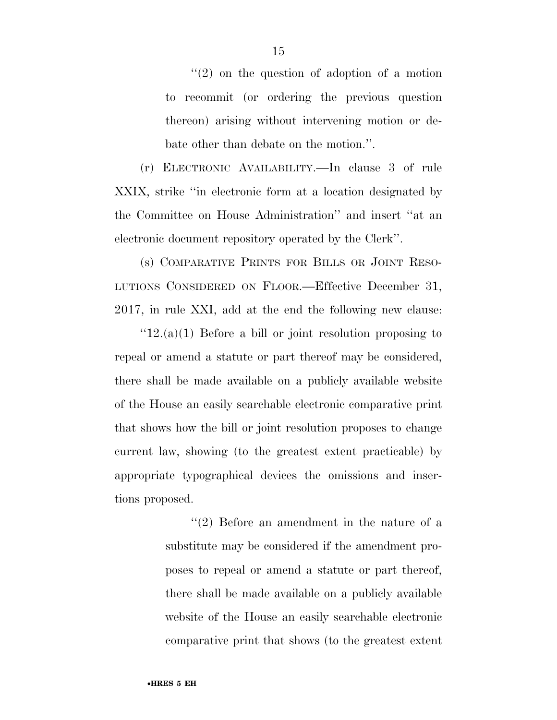$(2)$  on the question of adoption of a motion to recommit (or ordering the previous question thereon) arising without intervening motion or debate other than debate on the motion.''.

(r) ELECTRONIC AVAILABILITY.—In clause 3 of rule XXIX, strike ''in electronic form at a location designated by the Committee on House Administration'' and insert ''at an electronic document repository operated by the Clerk''.

(s) COMPARATIVE PRINTS FOR BILLS OR JOINT RESO-LUTIONS CONSIDERED ON FLOOR.—Effective December 31, 2017, in rule XXI, add at the end the following new clause:

 $"12.(a)(1)$  Before a bill or joint resolution proposing to repeal or amend a statute or part thereof may be considered, there shall be made available on a publicly available website of the House an easily searchable electronic comparative print that shows how the bill or joint resolution proposes to change current law, showing (to the greatest extent practicable) by appropriate typographical devices the omissions and insertions proposed.

> $(2)$  Before an amendment in the nature of a substitute may be considered if the amendment proposes to repeal or amend a statute or part thereof, there shall be made available on a publicly available website of the House an easily searchable electronic comparative print that shows (to the greatest extent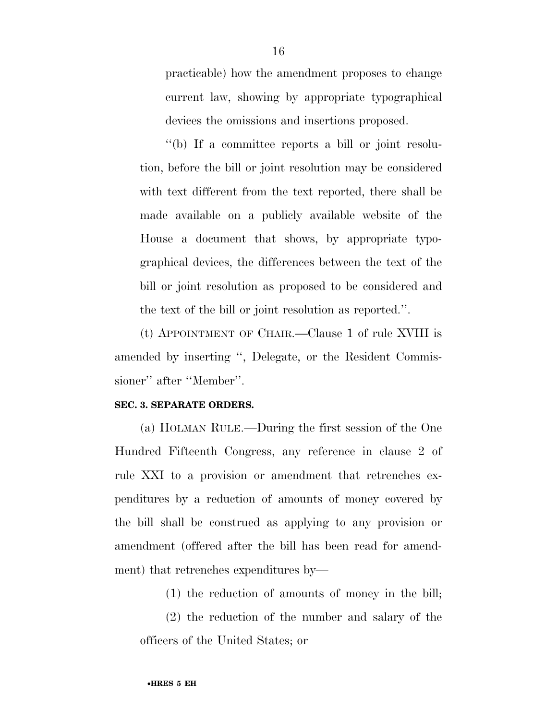practicable) how the amendment proposes to change current law, showing by appropriate typographical devices the omissions and insertions proposed.

''(b) If a committee reports a bill or joint resolution, before the bill or joint resolution may be considered with text different from the text reported, there shall be made available on a publicly available website of the House a document that shows, by appropriate typographical devices, the differences between the text of the bill or joint resolution as proposed to be considered and the text of the bill or joint resolution as reported.''.

(t) APPOINTMENT OF CHAIR.—Clause 1 of rule XVIII is amended by inserting '', Delegate, or the Resident Commissioner'' after ''Member''.

### **SEC. 3. SEPARATE ORDERS.**

(a) HOLMAN RULE.—During the first session of the One Hundred Fifteenth Congress, any reference in clause 2 of rule XXI to a provision or amendment that retrenches expenditures by a reduction of amounts of money covered by the bill shall be construed as applying to any provision or amendment (offered after the bill has been read for amendment) that retrenches expenditures by—

(1) the reduction of amounts of money in the bill;

(2) the reduction of the number and salary of the officers of the United States; or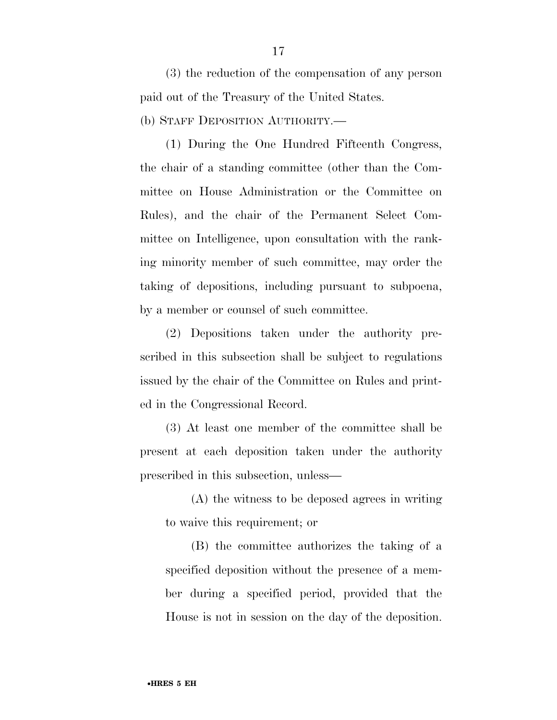(3) the reduction of the compensation of any person paid out of the Treasury of the United States.

(b) STAFF DEPOSITION AUTHORITY.—

(1) During the One Hundred Fifteenth Congress, the chair of a standing committee (other than the Committee on House Administration or the Committee on Rules), and the chair of the Permanent Select Committee on Intelligence, upon consultation with the ranking minority member of such committee, may order the taking of depositions, including pursuant to subpoena, by a member or counsel of such committee.

(2) Depositions taken under the authority prescribed in this subsection shall be subject to regulations issued by the chair of the Committee on Rules and printed in the Congressional Record.

(3) At least one member of the committee shall be present at each deposition taken under the authority prescribed in this subsection, unless—

(A) the witness to be deposed agrees in writing to waive this requirement; or

(B) the committee authorizes the taking of a specified deposition without the presence of a member during a specified period, provided that the House is not in session on the day of the deposition.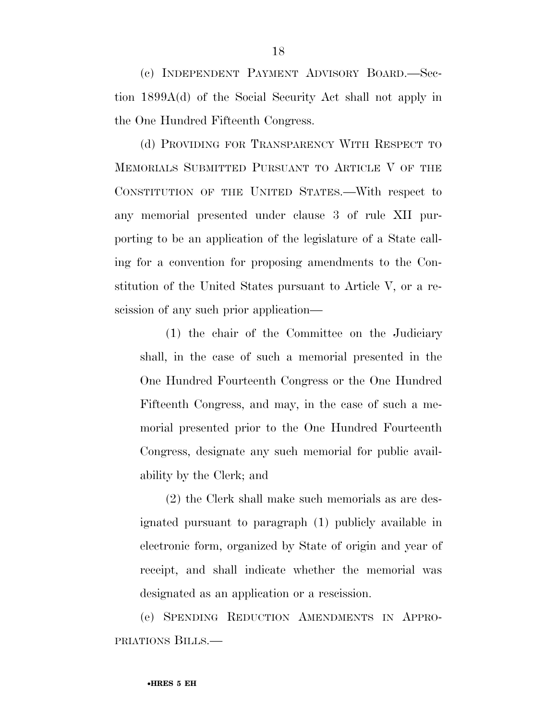(c) INDEPENDENT PAYMENT ADVISORY BOARD.—Section 1899A(d) of the Social Security Act shall not apply in the One Hundred Fifteenth Congress.

(d) PROVIDING FOR TRANSPARENCY WITH RESPECT TO MEMORIALS SUBMITTED PURSUANT TO ARTICLE V OF THE CONSTITUTION OF THE UNITED STATES.—With respect to any memorial presented under clause 3 of rule XII purporting to be an application of the legislature of a State calling for a convention for proposing amendments to the Constitution of the United States pursuant to Article V, or a rescission of any such prior application—

(1) the chair of the Committee on the Judiciary shall, in the case of such a memorial presented in the One Hundred Fourteenth Congress or the One Hundred Fifteenth Congress, and may, in the case of such a memorial presented prior to the One Hundred Fourteenth Congress, designate any such memorial for public availability by the Clerk; and

(2) the Clerk shall make such memorials as are designated pursuant to paragraph (1) publicly available in electronic form, organized by State of origin and year of receipt, and shall indicate whether the memorial was designated as an application or a rescission.

(e) SPENDING REDUCTION AMENDMENTS IN APPRO-PRIATIONS BILLS.—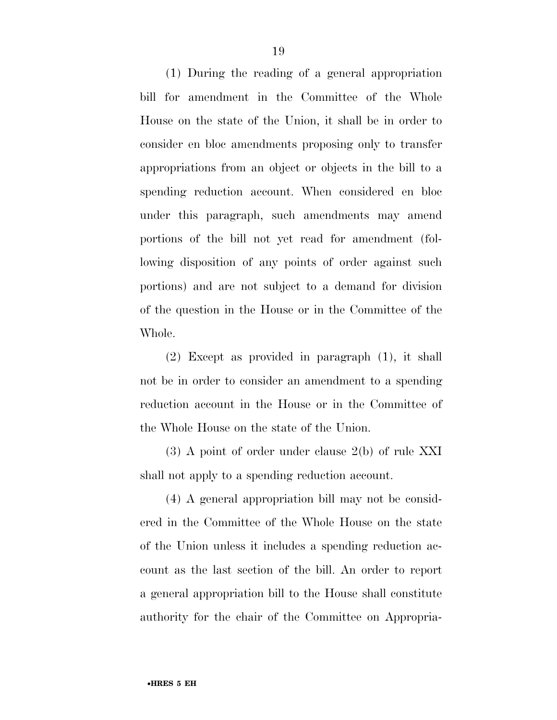(1) During the reading of a general appropriation bill for amendment in the Committee of the Whole House on the state of the Union, it shall be in order to consider en bloc amendments proposing only to transfer appropriations from an object or objects in the bill to a spending reduction account. When considered en bloc under this paragraph, such amendments may amend portions of the bill not yet read for amendment (following disposition of any points of order against such portions) and are not subject to a demand for division of the question in the House or in the Committee of the Whole.

(2) Except as provided in paragraph (1), it shall not be in order to consider an amendment to a spending reduction account in the House or in the Committee of the Whole House on the state of the Union.

(3) A point of order under clause 2(b) of rule XXI shall not apply to a spending reduction account.

(4) A general appropriation bill may not be considered in the Committee of the Whole House on the state of the Union unless it includes a spending reduction account as the last section of the bill. An order to report a general appropriation bill to the House shall constitute authority for the chair of the Committee on Appropria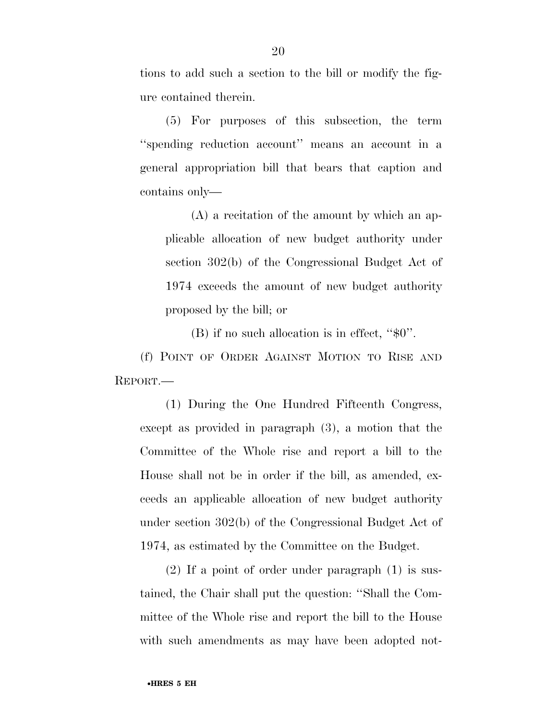tions to add such a section to the bill or modify the figure contained therein.

(5) For purposes of this subsection, the term ''spending reduction account'' means an account in a general appropriation bill that bears that caption and contains only—

(A) a recitation of the amount by which an applicable allocation of new budget authority under section 302(b) of the Congressional Budget Act of 1974 exceeds the amount of new budget authority proposed by the bill; or

(B) if no such allocation is in effect, ''\$0''.

(f) POINT OF ORDER AGAINST MOTION TO RISE AND REPORT.—

(1) During the One Hundred Fifteenth Congress, except as provided in paragraph (3), a motion that the Committee of the Whole rise and report a bill to the House shall not be in order if the bill, as amended, exceeds an applicable allocation of new budget authority under section 302(b) of the Congressional Budget Act of 1974, as estimated by the Committee on the Budget.

(2) If a point of order under paragraph (1) is sustained, the Chair shall put the question: ''Shall the Committee of the Whole rise and report the bill to the House with such amendments as may have been adopted not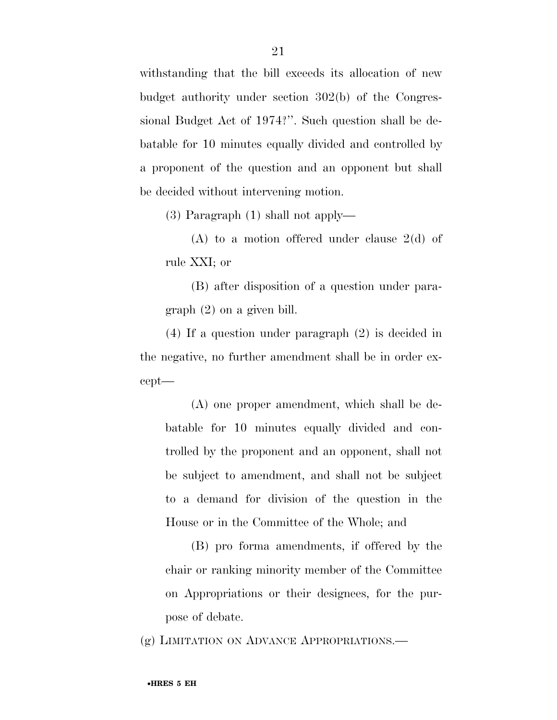withstanding that the bill exceeds its allocation of new budget authority under section 302(b) of the Congressional Budget Act of 1974?''. Such question shall be debatable for 10 minutes equally divided and controlled by a proponent of the question and an opponent but shall be decided without intervening motion.

(3) Paragraph (1) shall not apply—

(A) to a motion offered under clause 2(d) of rule XXI; or

(B) after disposition of a question under paragraph (2) on a given bill.

(4) If a question under paragraph (2) is decided in the negative, no further amendment shall be in order except—

(A) one proper amendment, which shall be debatable for 10 minutes equally divided and controlled by the proponent and an opponent, shall not be subject to amendment, and shall not be subject to a demand for division of the question in the House or in the Committee of the Whole; and

(B) pro forma amendments, if offered by the chair or ranking minority member of the Committee on Appropriations or their designees, for the purpose of debate.

(g) LIMITATION ON ADVANCE APPROPRIATIONS.—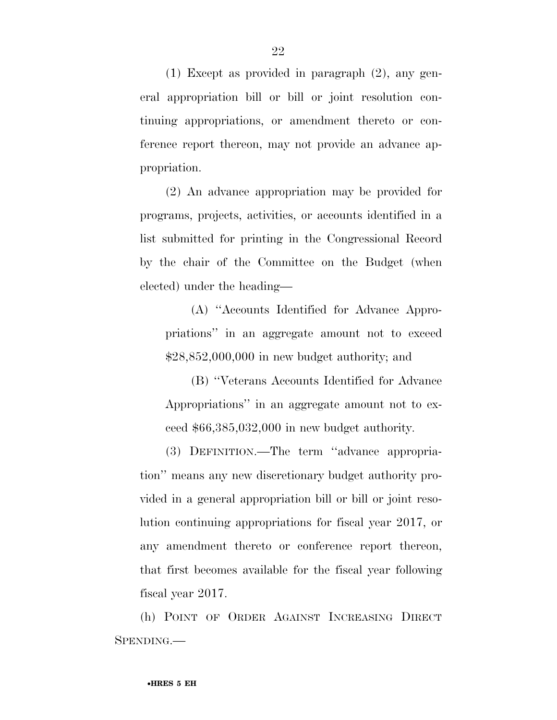(1) Except as provided in paragraph (2), any general appropriation bill or bill or joint resolution continuing appropriations, or amendment thereto or conference report thereon, may not provide an advance appropriation.

(2) An advance appropriation may be provided for programs, projects, activities, or accounts identified in a list submitted for printing in the Congressional Record by the chair of the Committee on the Budget (when elected) under the heading—

(A) ''Accounts Identified for Advance Appropriations'' in an aggregate amount not to exceed \$28,852,000,000 in new budget authority; and

(B) ''Veterans Accounts Identified for Advance Appropriations'' in an aggregate amount not to exceed \$66,385,032,000 in new budget authority.

(3) DEFINITION.—The term ''advance appropriation'' means any new discretionary budget authority provided in a general appropriation bill or bill or joint resolution continuing appropriations for fiscal year 2017, or any amendment thereto or conference report thereon, that first becomes available for the fiscal year following fiscal year 2017.

(h) POINT OF ORDER AGAINST INCREASING DIRECT SPENDING.—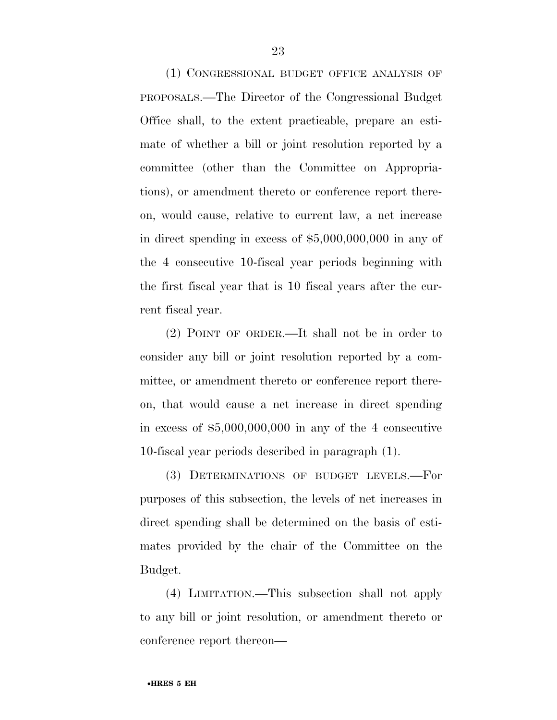(1) CONGRESSIONAL BUDGET OFFICE ANALYSIS OF PROPOSALS.—The Director of the Congressional Budget Office shall, to the extent practicable, prepare an estimate of whether a bill or joint resolution reported by a committee (other than the Committee on Appropriations), or amendment thereto or conference report thereon, would cause, relative to current law, a net increase in direct spending in excess of \$5,000,000,000 in any of the 4 consecutive 10-fiscal year periods beginning with the first fiscal year that is 10 fiscal years after the current fiscal year.

(2) POINT OF ORDER.—It shall not be in order to consider any bill or joint resolution reported by a committee, or amendment thereto or conference report thereon, that would cause a net increase in direct spending in excess of \$5,000,000,000 in any of the 4 consecutive 10-fiscal year periods described in paragraph (1).

(3) DETERMINATIONS OF BUDGET LEVELS.—For purposes of this subsection, the levels of net increases in direct spending shall be determined on the basis of estimates provided by the chair of the Committee on the Budget.

(4) LIMITATION.—This subsection shall not apply to any bill or joint resolution, or amendment thereto or conference report thereon—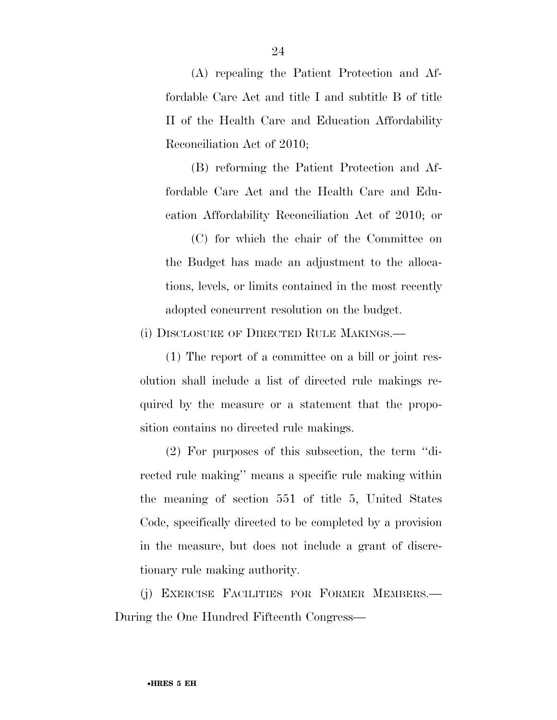(A) repealing the Patient Protection and Affordable Care Act and title I and subtitle B of title II of the Health Care and Education Affordability Reconciliation Act of 2010;

(B) reforming the Patient Protection and Affordable Care Act and the Health Care and Education Affordability Reconciliation Act of 2010; or

(C) for which the chair of the Committee on the Budget has made an adjustment to the allocations, levels, or limits contained in the most recently adopted concurrent resolution on the budget.

(i) DISCLOSURE OF DIRECTED RULE MAKINGS.—

(1) The report of a committee on a bill or joint resolution shall include a list of directed rule makings required by the measure or a statement that the proposition contains no directed rule makings.

(2) For purposes of this subsection, the term ''directed rule making'' means a specific rule making within the meaning of section 551 of title 5, United States Code, specifically directed to be completed by a provision in the measure, but does not include a grant of discretionary rule making authority.

(j) EXERCISE FACILITIES FOR FORMER MEMBERS.— During the One Hundred Fifteenth Congress—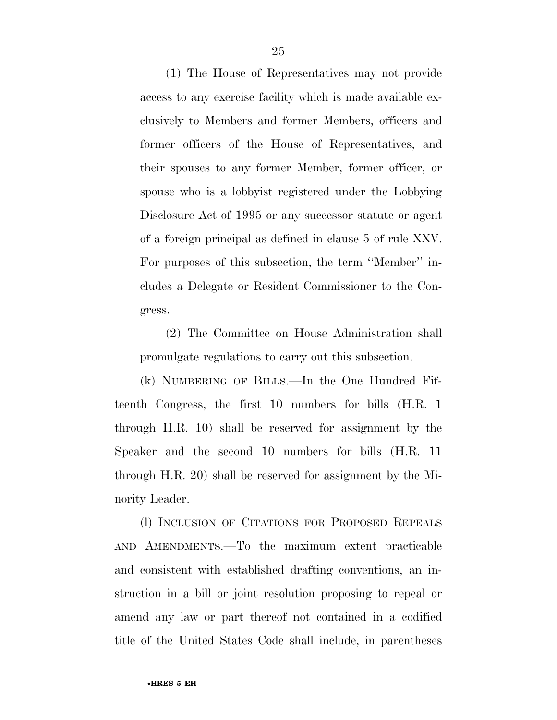(1) The House of Representatives may not provide access to any exercise facility which is made available exclusively to Members and former Members, officers and former officers of the House of Representatives, and their spouses to any former Member, former officer, or spouse who is a lobbyist registered under the Lobbying Disclosure Act of 1995 or any successor statute or agent of a foreign principal as defined in clause 5 of rule XXV. For purposes of this subsection, the term ''Member'' includes a Delegate or Resident Commissioner to the Congress.

(2) The Committee on House Administration shall promulgate regulations to carry out this subsection.

(k) NUMBERING OF BILLS.—In the One Hundred Fifteenth Congress, the first 10 numbers for bills (H.R. 1 through H.R. 10) shall be reserved for assignment by the Speaker and the second 10 numbers for bills (H.R. 11 through H.R. 20) shall be reserved for assignment by the Minority Leader.

(l) INCLUSION OF CITATIONS FOR PROPOSED REPEALS AND AMENDMENTS.—To the maximum extent practicable and consistent with established drafting conventions, an instruction in a bill or joint resolution proposing to repeal or amend any law or part thereof not contained in a codified title of the United States Code shall include, in parentheses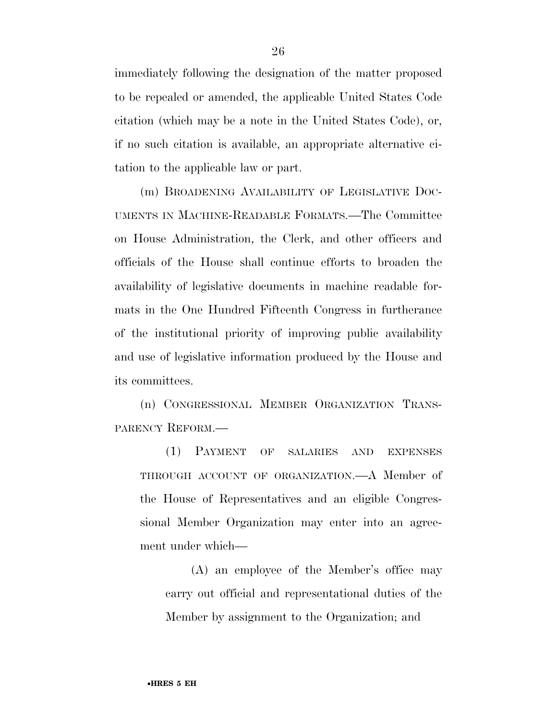immediately following the designation of the matter proposed to be repealed or amended, the applicable United States Code citation (which may be a note in the United States Code), or, if no such citation is available, an appropriate alternative citation to the applicable law or part.

(m) BROADENING AVAILABILITY OF LEGISLATIVE DOC-UMENTS IN MACHINE-READABLE FORMATS.—The Committee on House Administration, the Clerk, and other officers and officials of the House shall continue efforts to broaden the availability of legislative documents in machine readable formats in the One Hundred Fifteenth Congress in furtherance of the institutional priority of improving public availability and use of legislative information produced by the House and its committees.

(n) CONGRESSIONAL MEMBER ORGANIZATION TRANS-PARENCY REFORM.—

(1) PAYMENT OF SALARIES AND EXPENSES THROUGH ACCOUNT OF ORGANIZATION.—A Member of the House of Representatives and an eligible Congressional Member Organization may enter into an agreement under which—

(A) an employee of the Member's office may carry out official and representational duties of the Member by assignment to the Organization; and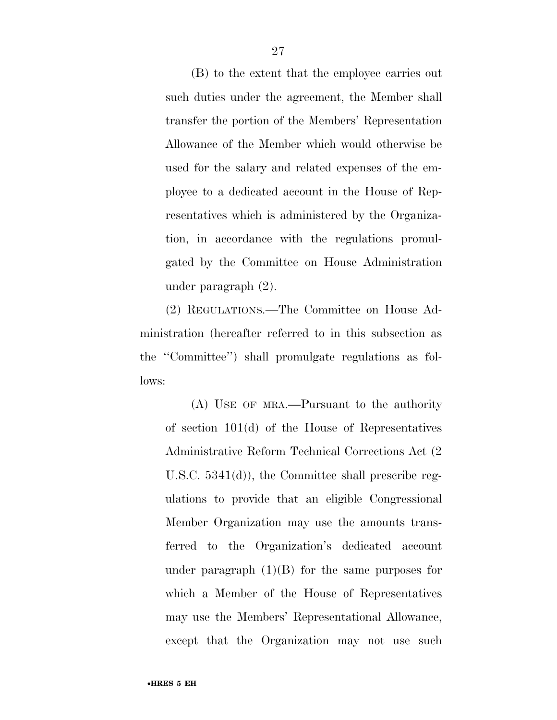(B) to the extent that the employee carries out such duties under the agreement, the Member shall transfer the portion of the Members' Representation Allowance of the Member which would otherwise be used for the salary and related expenses of the employee to a dedicated account in the House of Representatives which is administered by the Organization, in accordance with the regulations promulgated by the Committee on House Administration under paragraph (2).

(2) REGULATIONS.—The Committee on House Administration (hereafter referred to in this subsection as the ''Committee'') shall promulgate regulations as follows:

(A) USE OF MRA.—Pursuant to the authority of section 101(d) of the House of Representatives Administrative Reform Technical Corrections Act (2 U.S.C. 5341(d)), the Committee shall prescribe regulations to provide that an eligible Congressional Member Organization may use the amounts transferred to the Organization's dedicated account under paragraph  $(1)(B)$  for the same purposes for which a Member of the House of Representatives may use the Members' Representational Allowance, except that the Organization may not use such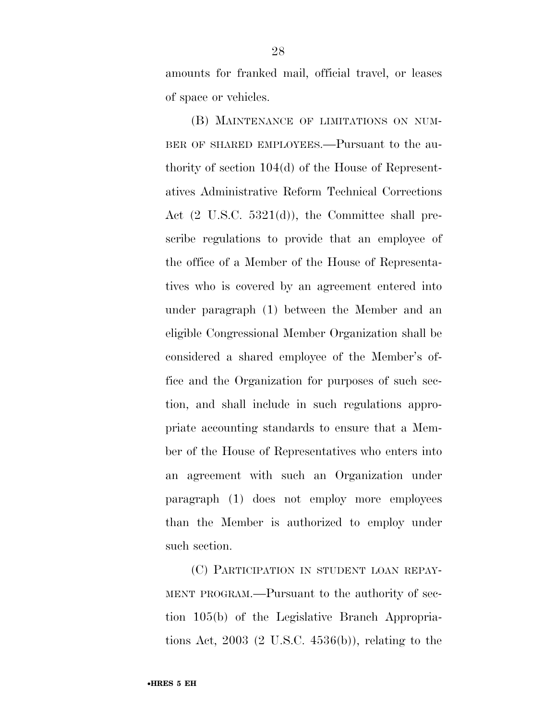amounts for franked mail, official travel, or leases of space or vehicles.

(B) MAINTENANCE OF LIMITATIONS ON NUM-BER OF SHARED EMPLOYEES.—Pursuant to the authority of section 104(d) of the House of Representatives Administrative Reform Technical Corrections Act (2 U.S.C. 5321(d)), the Committee shall prescribe regulations to provide that an employee of the office of a Member of the House of Representatives who is covered by an agreement entered into under paragraph (1) between the Member and an eligible Congressional Member Organization shall be considered a shared employee of the Member's office and the Organization for purposes of such section, and shall include in such regulations appropriate accounting standards to ensure that a Member of the House of Representatives who enters into an agreement with such an Organization under paragraph (1) does not employ more employees than the Member is authorized to employ under such section.

(C) PARTICIPATION IN STUDENT LOAN REPAY-MENT PROGRAM.—Pursuant to the authority of section 105(b) of the Legislative Branch Appropriations Act, 2003 (2 U.S.C. 4536(b)), relating to the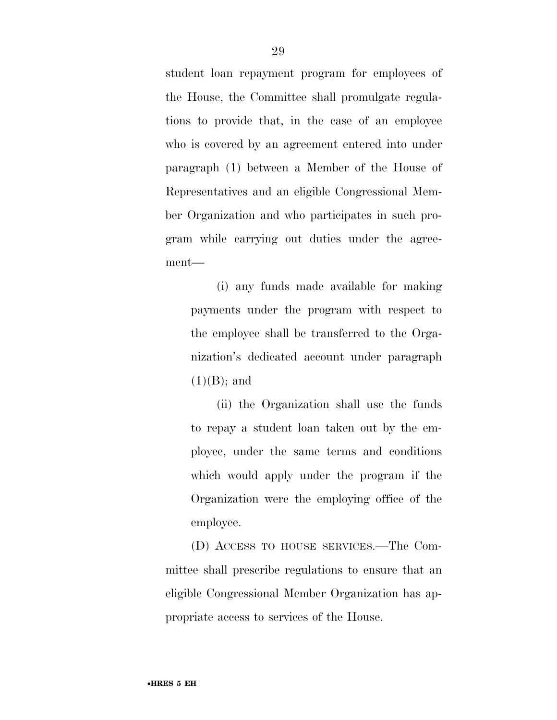student loan repayment program for employees of the House, the Committee shall promulgate regulations to provide that, in the case of an employee who is covered by an agreement entered into under paragraph (1) between a Member of the House of Representatives and an eligible Congressional Member Organization and who participates in such program while carrying out duties under the agreement—

(i) any funds made available for making payments under the program with respect to the employee shall be transferred to the Organization's dedicated account under paragraph  $(1)(B)$ ; and

(ii) the Organization shall use the funds to repay a student loan taken out by the employee, under the same terms and conditions which would apply under the program if the Organization were the employing office of the employee.

(D) ACCESS TO HOUSE SERVICES.—The Committee shall prescribe regulations to ensure that an eligible Congressional Member Organization has appropriate access to services of the House.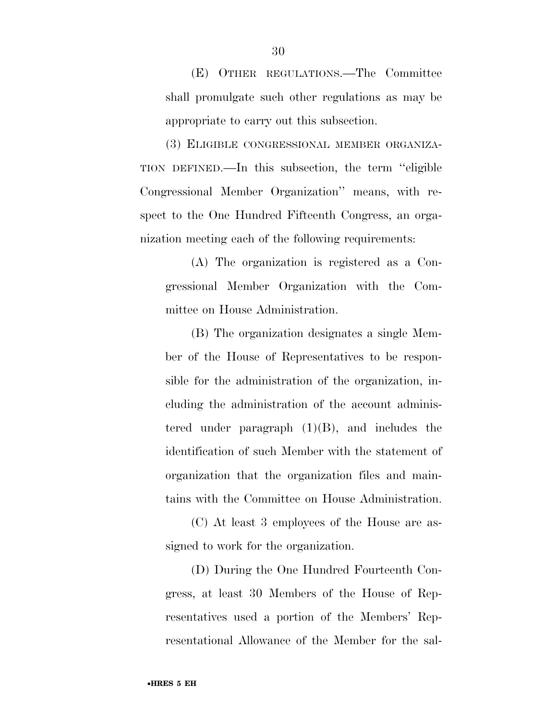(E) OTHER REGULATIONS.—The Committee shall promulgate such other regulations as may be appropriate to carry out this subsection.

(3) ELIGIBLE CONGRESSIONAL MEMBER ORGANIZA-TION DEFINED.—In this subsection, the term ''eligible Congressional Member Organization'' means, with respect to the One Hundred Fifteenth Congress, an organization meeting each of the following requirements:

(A) The organization is registered as a Congressional Member Organization with the Committee on House Administration.

(B) The organization designates a single Member of the House of Representatives to be responsible for the administration of the organization, including the administration of the account administered under paragraph  $(1)(B)$ , and includes the identification of such Member with the statement of organization that the organization files and maintains with the Committee on House Administration.

(C) At least 3 employees of the House are assigned to work for the organization.

(D) During the One Hundred Fourteenth Congress, at least 30 Members of the House of Representatives used a portion of the Members' Representational Allowance of the Member for the sal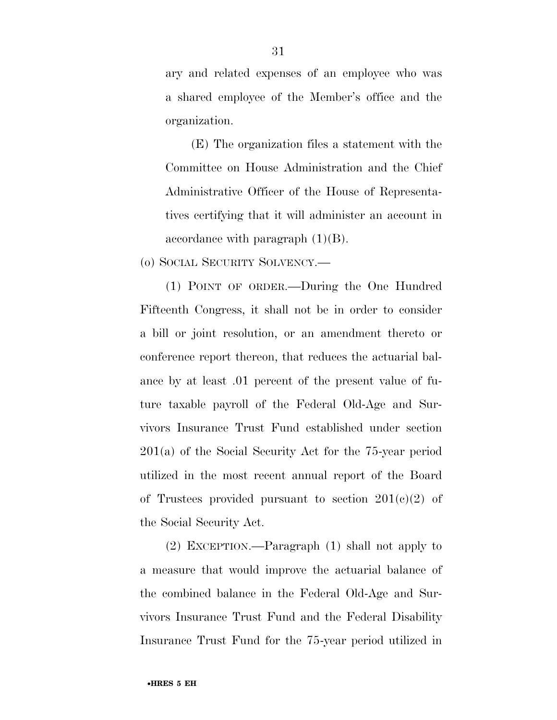ary and related expenses of an employee who was a shared employee of the Member's office and the organization.

(E) The organization files a statement with the Committee on House Administration and the Chief Administrative Officer of the House of Representatives certifying that it will administer an account in accordance with paragraph  $(1)(B)$ .

(o) SOCIAL SECURITY SOLVENCY.—

(1) POINT OF ORDER.—During the One Hundred Fifteenth Congress, it shall not be in order to consider a bill or joint resolution, or an amendment thereto or conference report thereon, that reduces the actuarial balance by at least .01 percent of the present value of future taxable payroll of the Federal Old-Age and Survivors Insurance Trust Fund established under section 201(a) of the Social Security Act for the 75-year period utilized in the most recent annual report of the Board of Trustees provided pursuant to section  $201(c)(2)$  of the Social Security Act.

(2) EXCEPTION.—Paragraph (1) shall not apply to a measure that would improve the actuarial balance of the combined balance in the Federal Old-Age and Survivors Insurance Trust Fund and the Federal Disability Insurance Trust Fund for the 75-year period utilized in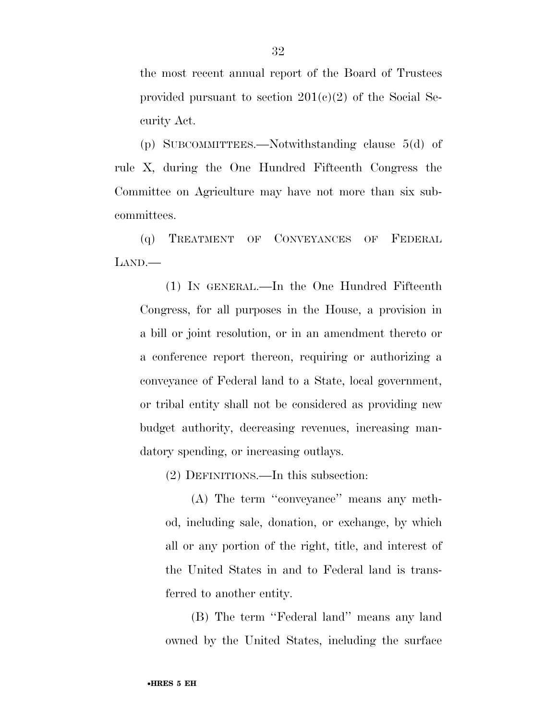the most recent annual report of the Board of Trustees provided pursuant to section  $201(c)(2)$  of the Social Security Act.

(p) SUBCOMMITTEES.—Notwithstanding clause 5(d) of rule X, during the One Hundred Fifteenth Congress the Committee on Agriculture may have not more than six subcommittees.

(q) TREATMENT OF CONVEYANCES OF FEDERAL LAND.—

(1) IN GENERAL.—In the One Hundred Fifteenth Congress, for all purposes in the House, a provision in a bill or joint resolution, or in an amendment thereto or a conference report thereon, requiring or authorizing a conveyance of Federal land to a State, local government, or tribal entity shall not be considered as providing new budget authority, decreasing revenues, increasing mandatory spending, or increasing outlays.

(2) DEFINITIONS.—In this subsection:

(A) The term ''conveyance'' means any method, including sale, donation, or exchange, by which all or any portion of the right, title, and interest of the United States in and to Federal land is transferred to another entity.

(B) The term ''Federal land'' means any land owned by the United States, including the surface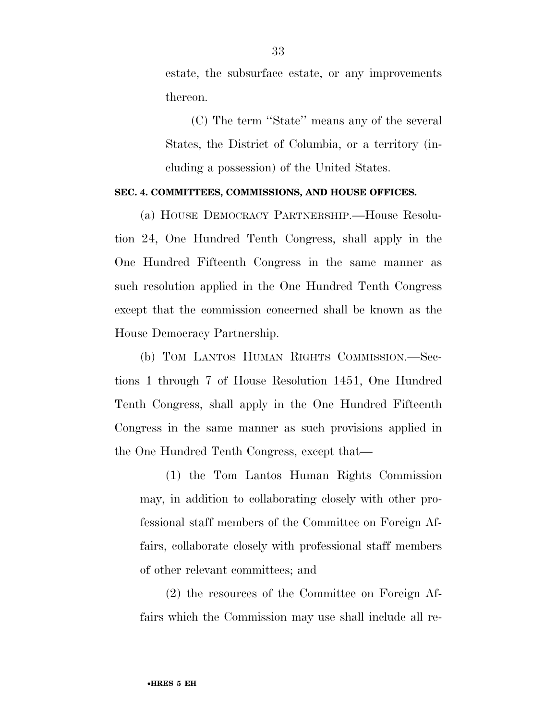estate, the subsurface estate, or any improvements thereon.

(C) The term ''State'' means any of the several States, the District of Columbia, or a territory (including a possession) of the United States.

#### **SEC. 4. COMMITTEES, COMMISSIONS, AND HOUSE OFFICES.**

(a) HOUSE DEMOCRACY PARTNERSHIP.—House Resolution 24, One Hundred Tenth Congress, shall apply in the One Hundred Fifteenth Congress in the same manner as such resolution applied in the One Hundred Tenth Congress except that the commission concerned shall be known as the House Democracy Partnership.

(b) TOM LANTOS HUMAN RIGHTS COMMISSION.—Sections 1 through 7 of House Resolution 1451, One Hundred Tenth Congress, shall apply in the One Hundred Fifteenth Congress in the same manner as such provisions applied in the One Hundred Tenth Congress, except that—

(1) the Tom Lantos Human Rights Commission may, in addition to collaborating closely with other professional staff members of the Committee on Foreign Affairs, collaborate closely with professional staff members of other relevant committees; and

(2) the resources of the Committee on Foreign Affairs which the Commission may use shall include all re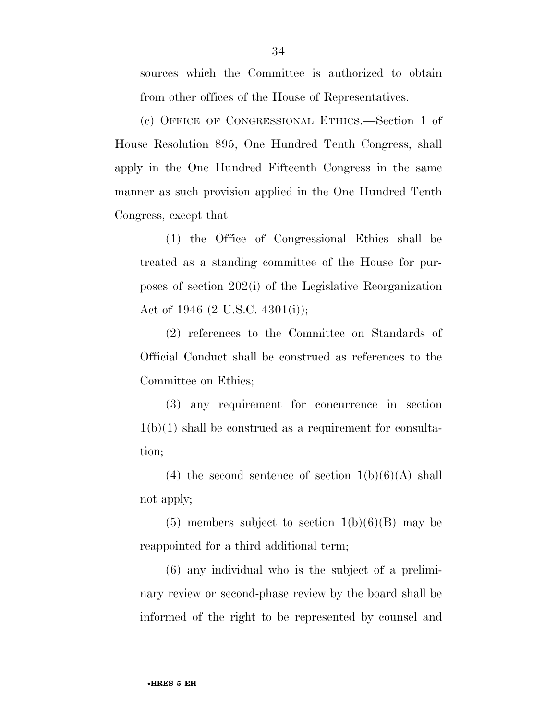sources which the Committee is authorized to obtain from other offices of the House of Representatives.

(c) OFFICE OF CONGRESSIONAL ETHICS.—Section 1 of House Resolution 895, One Hundred Tenth Congress, shall apply in the One Hundred Fifteenth Congress in the same manner as such provision applied in the One Hundred Tenth Congress, except that—

(1) the Office of Congressional Ethics shall be treated as a standing committee of the House for purposes of section 202(i) of the Legislative Reorganization Act of 1946 (2 U.S.C. 4301(i));

(2) references to the Committee on Standards of Official Conduct shall be construed as references to the Committee on Ethics;

(3) any requirement for concurrence in section  $1(b)(1)$  shall be construed as a requirement for consultation;

(4) the second sentence of section  $1(b)(6)(A)$  shall not apply;

 $(5)$  members subject to section  $1(b)(6)(B)$  may be reappointed for a third additional term;

(6) any individual who is the subject of a preliminary review or second-phase review by the board shall be informed of the right to be represented by counsel and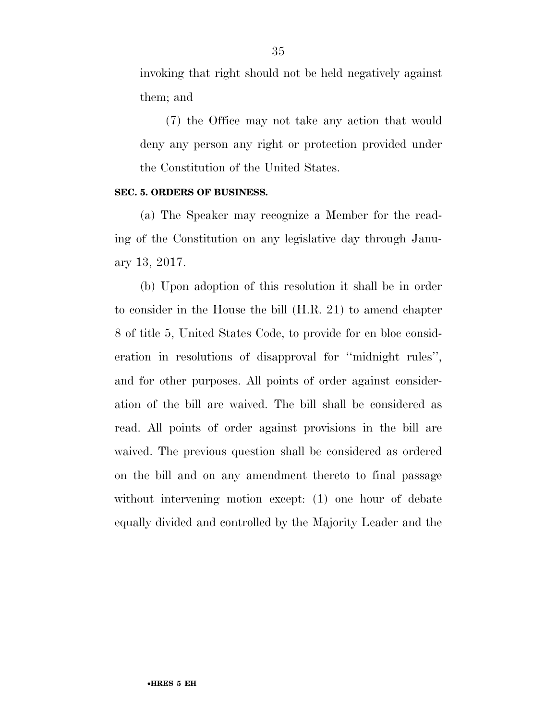invoking that right should not be held negatively against them; and

(7) the Office may not take any action that would deny any person any right or protection provided under the Constitution of the United States.

#### **SEC. 5. ORDERS OF BUSINESS.**

(a) The Speaker may recognize a Member for the reading of the Constitution on any legislative day through January 13, 2017.

(b) Upon adoption of this resolution it shall be in order to consider in the House the bill (H.R. 21) to amend chapter 8 of title 5, United States Code, to provide for en bloc consideration in resolutions of disapproval for ''midnight rules'', and for other purposes. All points of order against consideration of the bill are waived. The bill shall be considered as read. All points of order against provisions in the bill are waived. The previous question shall be considered as ordered on the bill and on any amendment thereto to final passage without intervening motion except: (1) one hour of debate equally divided and controlled by the Majority Leader and the